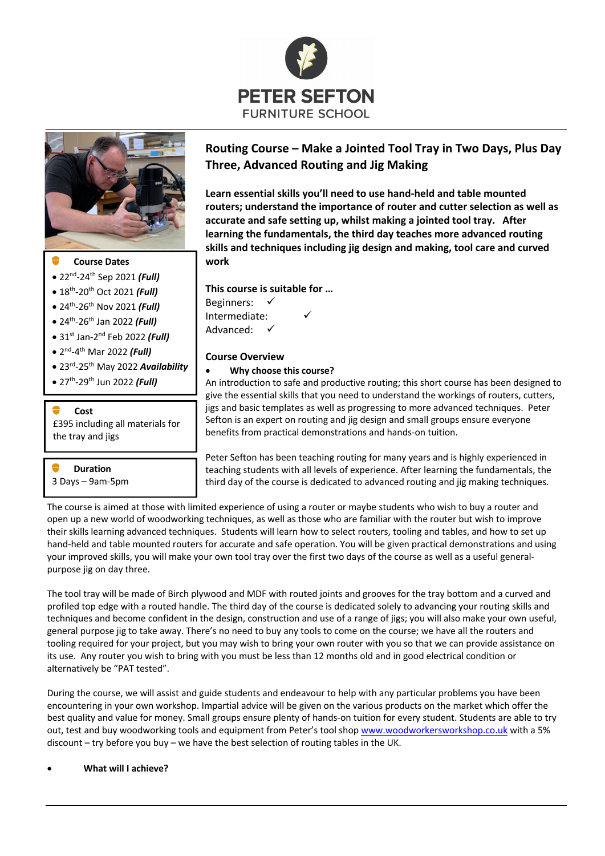



## **Course Dates**

- 22nd-24th Sep 2021 *(Full)*
- 18th-20th Oct 2021 *(Full)*
- 24th-26th Nov 2021 *(Full)*
- 24th-26th Jan 2022 *(Full)*
- 31st Jan-2nd Feb 2022 *(Full)*
- 2nd-4th Mar 2022 *(Full)*
- 23rd-25th May 2022 *Availability*
- 27th-29th Jun 2022 *(Full)*

## **Cost**

£395 including all materials for the tray and jigs

**Duration** 3 Days – 9am-5pm

# **Routing Course – Make a Jointed Tool Tray in Two Days, Plus Day Three, Advanced Routing and Jig Making**

**Learn essential skills you'll need to use hand-held and table mounted routers; understand the importance of router and cutter selection as well as accurate and safe setting up, whilst making a jointed tool tray. After learning the fundamentals, the third day teaches more advanced routing skills and techniques including jig design and making, tool care and curved work**

**This course is suitable for …**

Beginners: Intermediate: Advanced:

# **Course Overview**

#### • **Why choose this course?**

An introduction to safe and productive routing; this short course has been designed to give the essential skills that you need to understand the workings of routers, cutters, jigs and basic templates as well as progressing to more advanced techniques. Peter Sefton is an expert on routing and jig design and small groups ensure everyone benefits from practical demonstrations and hands-on tuition.

Peter Sefton has been teaching routing for many years and is highly experienced in teaching students with all levels of experience. After learning the fundamentals, the third day of the course is dedicated to advanced routing and jig making techniques.

The course is aimed at those with limited experience of using a router or maybe students who wish to buy a router and open up a new world of woodworking techniques, as well as those who are familiar with the router but wish to improve their skills learning advanced techniques. Students will learn how to select routers, tooling and tables, and how to set up hand-held and table mounted routers for accurate and safe operation. You will be given practical demonstrations and using your improved skills, you will make your own tool tray over the first two days of the course as well as a useful generalpurpose jig on day three.

The tool tray will be made of Birch plywood and MDF with routed joints and grooves for the tray bottom and a curved and profiled top edge with a routed handle. The third day of the course is dedicated solely to advancing your routing skills and techniques and become confident in the design, construction and use of a range of jigs; you will also make your own useful, general purpose jig to take away. There's no need to buy any tools to come on the course; we have all the routers and tooling required for your project, but you may wish to bring your own router with you so that we can provide assistance on its use. Any router you wish to bring with you must be less than 12 months old and in good electrical condition or alternatively be "PAT tested".

During the course, we will assist and guide students and endeavour to help with any particular problems you have been encountering in your own workshop. Impartial advice will be given on the various products on the market which offer the best quality and value for money. Small groups ensure plenty of hands-on tuition for every student. Students are able to try out, test and buy woodworking tools and equipment from Peter's tool shop www.woodworkersworkshop.co.uk with a 5% discount – try before you buy – we have the best selection of routing tables in the UK.

#### • **What will I achieve?**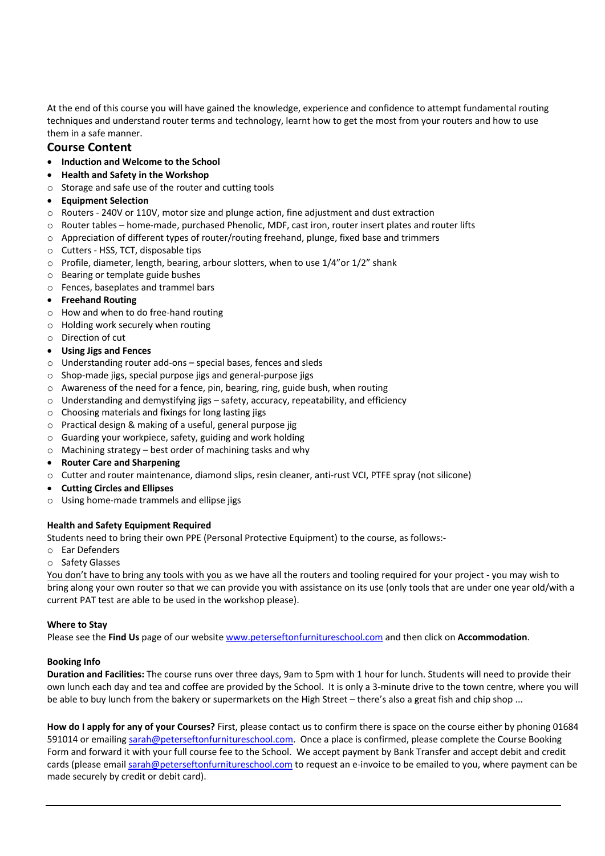At the end of this course you will have gained the knowledge, experience and confidence to attempt fundamental routing techniques and understand router terms and technology, learnt how to get the most from your routers and how to use them in a safe manner.

# **Course Content**

- **Induction and Welcome to the School**
- **Health and Safety in the Workshop**
- o Storage and safe use of the router and cutting tools
- **Equipment Selection**
- o Routers 240V or 110V, motor size and plunge action, fine adjustment and dust extraction
- o Router tables home-made, purchased Phenolic, MDF, cast iron, router insert plates and router lifts
- $\circ$  Appreciation of different types of router/routing freehand, plunge, fixed base and trimmers
- o Cutters HSS, TCT, disposable tips
- $\circ$  Profile, diameter, length, bearing, arbour slotters, when to use 1/4" or 1/2" shank
- o Bearing or template guide bushes
- o Fences, baseplates and trammel bars
- **Freehand Routing**
- o How and when to do free-hand routing
- o Holding work securely when routing
- o Direction of cut
- **Using Jigs and Fences**
- o Understanding router add-ons special bases, fences and sleds
- o Shop-made jigs, special purpose jigs and general-purpose jigs
- $\circ$  Awareness of the need for a fence, pin, bearing, ring, guide bush, when routing
- o Understanding and demystifying jigs safety, accuracy, repeatability, and efficiency
- o Choosing materials and fixings for long lasting jigs
- o Practical design & making of a useful, general purpose jig
- o Guarding your workpiece, safety, guiding and work holding
- o Machining strategy best order of machining tasks and why
- **Router Care and Sharpening**
- o Cutter and router maintenance, diamond slips, resin cleaner, anti-rust VCI, PTFE spray (not silicone)
- **Cutting Circles and Ellipses**
- o Using home-made trammels and ellipse jigs

# **Health and Safety Equipment Required**

Students need to bring their own PPE (Personal Protective Equipment) to the course, as follows:-

- o Ear Defenders
- o Safety Glasses

You don't have to bring any tools with you as we have all the routers and tooling required for your project - you may wish to bring along your own router so that we can provide you with assistance on its use (only tools that are under one year old/with a current PAT test are able to be used in the workshop please).

#### **Where to Stay**

Please see the **Find Us** page of our website www.peterseftonfurnitureschool.com and then click on **Accommodation**.

# **Booking Info**

**Duration and Facilities:** The course runs over three days, 9am to 5pm with 1 hour for lunch. Students will need to provide their own lunch each day and tea and coffee are provided by the School. It is only a 3-minute drive to the town centre, where you will be able to buy lunch from the bakery or supermarkets on the High Street – there's also a great fish and chip shop ...

**How do I apply for any of your Courses?** First, please contact us to confirm there is space on the course either by phoning 01684 591014 or emailing sarah@peterseftonfurnitureschool.com. Once a place is confirmed, please complete the Course Booking Form and forward it with your full course fee to the School. We accept payment by Bank Transfer and accept debit and credit cards (please email sarah@peterseftonfurnitureschool.com to request an e-invoice to be emailed to you, where payment can be made securely by credit or debit card).